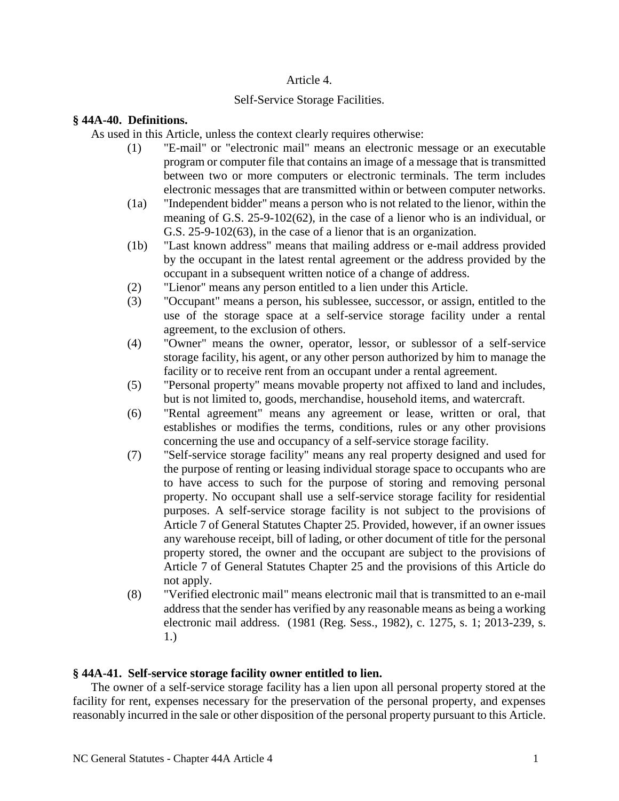### Article 4.

## Self-Service Storage Facilities.

## **§ 44A-40. Definitions.**

As used in this Article, unless the context clearly requires otherwise:

- (1) "E-mail" or "electronic mail" means an electronic message or an executable program or computer file that contains an image of a message that is transmitted between two or more computers or electronic terminals. The term includes electronic messages that are transmitted within or between computer networks.
- (1a) "Independent bidder" means a person who is not related to the lienor, within the meaning of G.S. 25-9-102(62), in the case of a lienor who is an individual, or G.S. 25-9-102(63), in the case of a lienor that is an organization.
- (1b) "Last known address" means that mailing address or e-mail address provided by the occupant in the latest rental agreement or the address provided by the occupant in a subsequent written notice of a change of address.
- (2) "Lienor" means any person entitled to a lien under this Article.
- (3) "Occupant" means a person, his sublessee, successor, or assign, entitled to the use of the storage space at a self-service storage facility under a rental agreement, to the exclusion of others.
- (4) "Owner" means the owner, operator, lessor, or sublessor of a self-service storage facility, his agent, or any other person authorized by him to manage the facility or to receive rent from an occupant under a rental agreement.
- (5) "Personal property" means movable property not affixed to land and includes, but is not limited to, goods, merchandise, household items, and watercraft.
- (6) "Rental agreement" means any agreement or lease, written or oral, that establishes or modifies the terms, conditions, rules or any other provisions concerning the use and occupancy of a self-service storage facility.
- (7) "Self-service storage facility" means any real property designed and used for the purpose of renting or leasing individual storage space to occupants who are to have access to such for the purpose of storing and removing personal property. No occupant shall use a self-service storage facility for residential purposes. A self-service storage facility is not subject to the provisions of Article 7 of General Statutes Chapter 25. Provided, however, if an owner issues any warehouse receipt, bill of lading, or other document of title for the personal property stored, the owner and the occupant are subject to the provisions of Article 7 of General Statutes Chapter 25 and the provisions of this Article do not apply.
- (8) "Verified electronic mail" means electronic mail that is transmitted to an e-mail address that the sender has verified by any reasonable means as being a working electronic mail address. (1981 (Reg. Sess., 1982), c. 1275, s. 1; 2013-239, s. 1.)

# **§ 44A-41. Self-service storage facility owner entitled to lien.**

The owner of a self-service storage facility has a lien upon all personal property stored at the facility for rent, expenses necessary for the preservation of the personal property, and expenses reasonably incurred in the sale or other disposition of the personal property pursuant to this Article.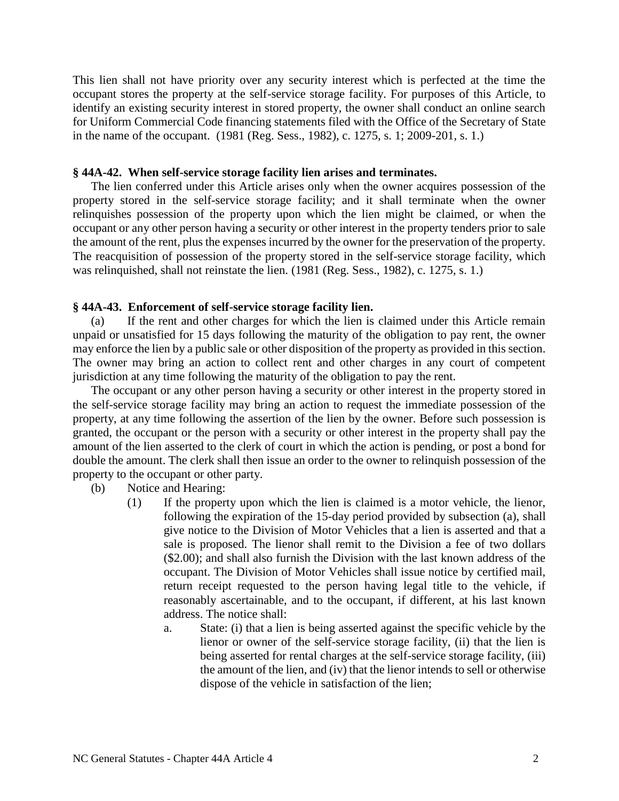This lien shall not have priority over any security interest which is perfected at the time the occupant stores the property at the self-service storage facility. For purposes of this Article, to identify an existing security interest in stored property, the owner shall conduct an online search for Uniform Commercial Code financing statements filed with the Office of the Secretary of State in the name of the occupant. (1981 (Reg. Sess., 1982), c. 1275, s. 1; 2009-201, s. 1.)

### **§ 44A-42. When self-service storage facility lien arises and terminates.**

The lien conferred under this Article arises only when the owner acquires possession of the property stored in the self-service storage facility; and it shall terminate when the owner relinquishes possession of the property upon which the lien might be claimed, or when the occupant or any other person having a security or other interest in the property tenders prior to sale the amount of the rent, plus the expenses incurred by the owner for the preservation of the property. The reacquisition of possession of the property stored in the self-service storage facility, which was relinquished, shall not reinstate the lien. (1981 (Reg. Sess., 1982), c. 1275, s. 1.)

#### **§ 44A-43. Enforcement of self-service storage facility lien.**

(a) If the rent and other charges for which the lien is claimed under this Article remain unpaid or unsatisfied for 15 days following the maturity of the obligation to pay rent, the owner may enforce the lien by a public sale or other disposition of the property as provided in this section. The owner may bring an action to collect rent and other charges in any court of competent jurisdiction at any time following the maturity of the obligation to pay the rent.

The occupant or any other person having a security or other interest in the property stored in the self-service storage facility may bring an action to request the immediate possession of the property, at any time following the assertion of the lien by the owner. Before such possession is granted, the occupant or the person with a security or other interest in the property shall pay the amount of the lien asserted to the clerk of court in which the action is pending, or post a bond for double the amount. The clerk shall then issue an order to the owner to relinquish possession of the property to the occupant or other party.

- (b) Notice and Hearing:
	- (1) If the property upon which the lien is claimed is a motor vehicle, the lienor, following the expiration of the 15-day period provided by subsection (a), shall give notice to the Division of Motor Vehicles that a lien is asserted and that a sale is proposed. The lienor shall remit to the Division a fee of two dollars (\$2.00); and shall also furnish the Division with the last known address of the occupant. The Division of Motor Vehicles shall issue notice by certified mail, return receipt requested to the person having legal title to the vehicle, if reasonably ascertainable, and to the occupant, if different, at his last known address. The notice shall:
		- a. State: (i) that a lien is being asserted against the specific vehicle by the lienor or owner of the self-service storage facility, (ii) that the lien is being asserted for rental charges at the self-service storage facility, (iii) the amount of the lien, and (iv) that the lienor intends to sell or otherwise dispose of the vehicle in satisfaction of the lien;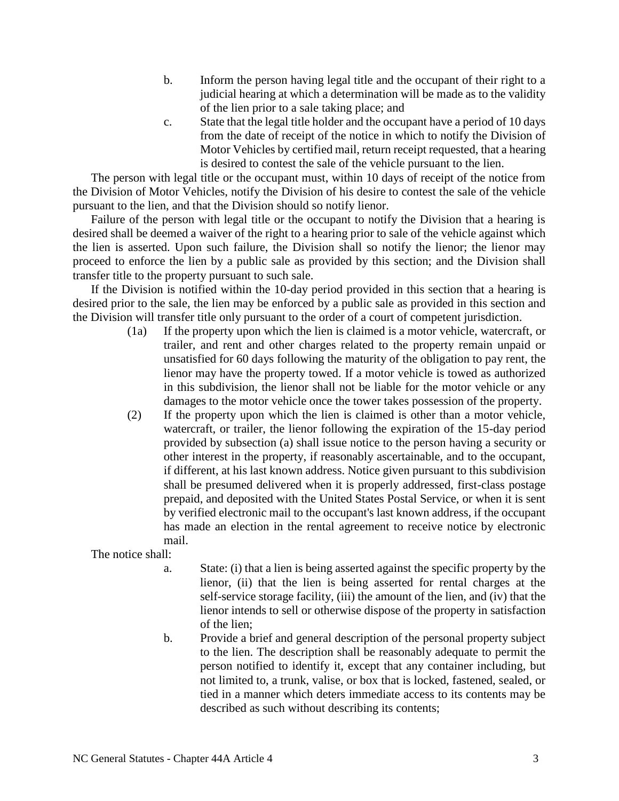- b. Inform the person having legal title and the occupant of their right to a judicial hearing at which a determination will be made as to the validity of the lien prior to a sale taking place; and
- c. State that the legal title holder and the occupant have a period of 10 days from the date of receipt of the notice in which to notify the Division of Motor Vehicles by certified mail, return receipt requested, that a hearing is desired to contest the sale of the vehicle pursuant to the lien.

The person with legal title or the occupant must, within 10 days of receipt of the notice from the Division of Motor Vehicles, notify the Division of his desire to contest the sale of the vehicle pursuant to the lien, and that the Division should so notify lienor.

Failure of the person with legal title or the occupant to notify the Division that a hearing is desired shall be deemed a waiver of the right to a hearing prior to sale of the vehicle against which the lien is asserted. Upon such failure, the Division shall so notify the lienor; the lienor may proceed to enforce the lien by a public sale as provided by this section; and the Division shall transfer title to the property pursuant to such sale.

If the Division is notified within the 10-day period provided in this section that a hearing is desired prior to the sale, the lien may be enforced by a public sale as provided in this section and the Division will transfer title only pursuant to the order of a court of competent jurisdiction.

- (1a) If the property upon which the lien is claimed is a motor vehicle, watercraft, or trailer, and rent and other charges related to the property remain unpaid or unsatisfied for 60 days following the maturity of the obligation to pay rent, the lienor may have the property towed. If a motor vehicle is towed as authorized in this subdivision, the lienor shall not be liable for the motor vehicle or any damages to the motor vehicle once the tower takes possession of the property.
- (2) If the property upon which the lien is claimed is other than a motor vehicle, watercraft, or trailer, the lienor following the expiration of the 15-day period provided by subsection (a) shall issue notice to the person having a security or other interest in the property, if reasonably ascertainable, and to the occupant, if different, at his last known address. Notice given pursuant to this subdivision shall be presumed delivered when it is properly addressed, first-class postage prepaid, and deposited with the United States Postal Service, or when it is sent by verified electronic mail to the occupant's last known address, if the occupant has made an election in the rental agreement to receive notice by electronic mail.

The notice shall:

- a. State: (i) that a lien is being asserted against the specific property by the lienor, (ii) that the lien is being asserted for rental charges at the self-service storage facility, (iii) the amount of the lien, and (iv) that the lienor intends to sell or otherwise dispose of the property in satisfaction of the lien;
- b. Provide a brief and general description of the personal property subject to the lien. The description shall be reasonably adequate to permit the person notified to identify it, except that any container including, but not limited to, a trunk, valise, or box that is locked, fastened, sealed, or tied in a manner which deters immediate access to its contents may be described as such without describing its contents;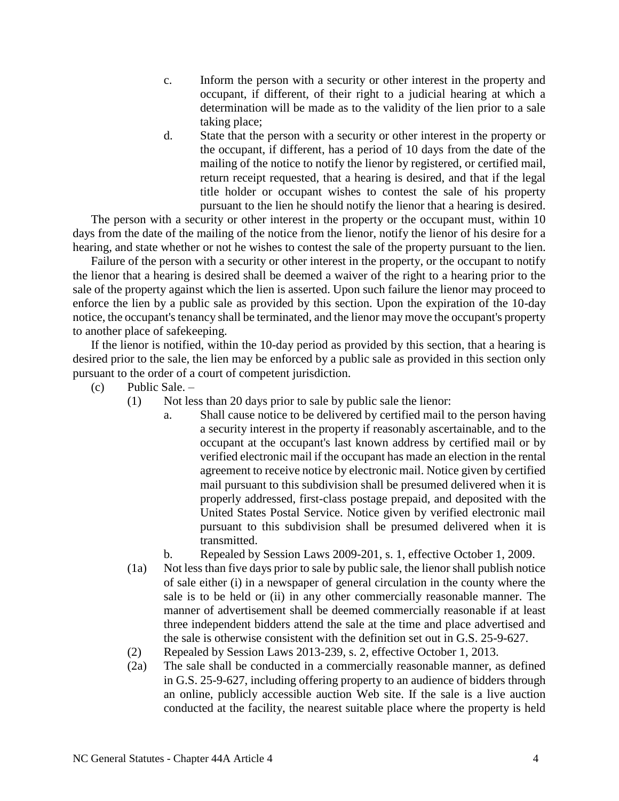- c. Inform the person with a security or other interest in the property and occupant, if different, of their right to a judicial hearing at which a determination will be made as to the validity of the lien prior to a sale taking place;
- d. State that the person with a security or other interest in the property or the occupant, if different, has a period of 10 days from the date of the mailing of the notice to notify the lienor by registered, or certified mail, return receipt requested, that a hearing is desired, and that if the legal title holder or occupant wishes to contest the sale of his property pursuant to the lien he should notify the lienor that a hearing is desired.

The person with a security or other interest in the property or the occupant must, within 10 days from the date of the mailing of the notice from the lienor, notify the lienor of his desire for a hearing, and state whether or not he wishes to contest the sale of the property pursuant to the lien.

Failure of the person with a security or other interest in the property, or the occupant to notify the lienor that a hearing is desired shall be deemed a waiver of the right to a hearing prior to the sale of the property against which the lien is asserted. Upon such failure the lienor may proceed to enforce the lien by a public sale as provided by this section. Upon the expiration of the 10-day notice, the occupant's tenancy shall be terminated, and the lienor may move the occupant's property to another place of safekeeping.

If the lienor is notified, within the 10-day period as provided by this section, that a hearing is desired prior to the sale, the lien may be enforced by a public sale as provided in this section only pursuant to the order of a court of competent jurisdiction.

- (c) Public Sale.
	- (1) Not less than 20 days prior to sale by public sale the lienor:
		- a. Shall cause notice to be delivered by certified mail to the person having a security interest in the property if reasonably ascertainable, and to the occupant at the occupant's last known address by certified mail or by verified electronic mail if the occupant has made an election in the rental agreement to receive notice by electronic mail. Notice given by certified mail pursuant to this subdivision shall be presumed delivered when it is properly addressed, first-class postage prepaid, and deposited with the United States Postal Service. Notice given by verified electronic mail pursuant to this subdivision shall be presumed delivered when it is transmitted.
		- b. Repealed by Session Laws 2009-201, s. 1, effective October 1, 2009.
	- (1a) Not less than five days prior to sale by public sale, the lienor shall publish notice of sale either (i) in a newspaper of general circulation in the county where the sale is to be held or (ii) in any other commercially reasonable manner. The manner of advertisement shall be deemed commercially reasonable if at least three independent bidders attend the sale at the time and place advertised and the sale is otherwise consistent with the definition set out in G.S. 25-9-627.
	- (2) Repealed by Session Laws 2013-239, s. 2, effective October 1, 2013.
	- (2a) The sale shall be conducted in a commercially reasonable manner, as defined in G.S. 25-9-627, including offering property to an audience of bidders through an online, publicly accessible auction Web site. If the sale is a live auction conducted at the facility, the nearest suitable place where the property is held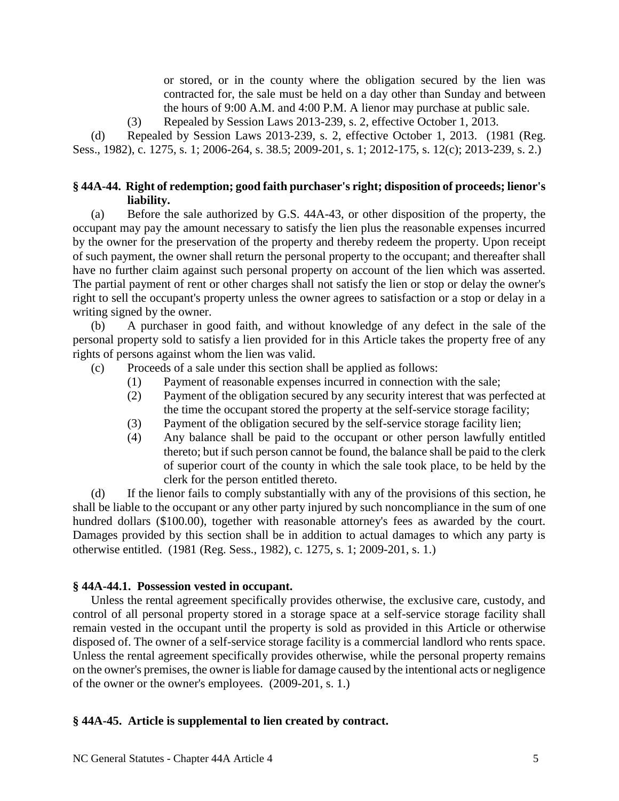or stored, or in the county where the obligation secured by the lien was contracted for, the sale must be held on a day other than Sunday and between the hours of 9:00 A.M. and 4:00 P.M. A lienor may purchase at public sale.

(3) Repealed by Session Laws 2013-239, s. 2, effective October 1, 2013.

(d) Repealed by Session Laws 2013-239, s. 2, effective October 1, 2013. (1981 (Reg. Sess., 1982), c. 1275, s. 1; 2006-264, s. 38.5; 2009-201, s. 1; 2012-175, s. 12(c); 2013-239, s. 2.)

# **§ 44A-44. Right of redemption; good faith purchaser's right; disposition of proceeds; lienor's liability.**

(a) Before the sale authorized by G.S. 44A-43, or other disposition of the property, the occupant may pay the amount necessary to satisfy the lien plus the reasonable expenses incurred by the owner for the preservation of the property and thereby redeem the property. Upon receipt of such payment, the owner shall return the personal property to the occupant; and thereafter shall have no further claim against such personal property on account of the lien which was asserted. The partial payment of rent or other charges shall not satisfy the lien or stop or delay the owner's right to sell the occupant's property unless the owner agrees to satisfaction or a stop or delay in a writing signed by the owner.

(b) A purchaser in good faith, and without knowledge of any defect in the sale of the personal property sold to satisfy a lien provided for in this Article takes the property free of any rights of persons against whom the lien was valid.

(c) Proceeds of a sale under this section shall be applied as follows:

- (1) Payment of reasonable expenses incurred in connection with the sale;
- (2) Payment of the obligation secured by any security interest that was perfected at the time the occupant stored the property at the self-service storage facility;
- (3) Payment of the obligation secured by the self-service storage facility lien;
- (4) Any balance shall be paid to the occupant or other person lawfully entitled thereto; but if such person cannot be found, the balance shall be paid to the clerk of superior court of the county in which the sale took place, to be held by the clerk for the person entitled thereto.

(d) If the lienor fails to comply substantially with any of the provisions of this section, he shall be liable to the occupant or any other party injured by such noncompliance in the sum of one hundred dollars (\$100.00), together with reasonable attorney's fees as awarded by the court. Damages provided by this section shall be in addition to actual damages to which any party is otherwise entitled. (1981 (Reg. Sess., 1982), c. 1275, s. 1; 2009-201, s. 1.)

# **§ 44A-44.1. Possession vested in occupant.**

Unless the rental agreement specifically provides otherwise, the exclusive care, custody, and control of all personal property stored in a storage space at a self-service storage facility shall remain vested in the occupant until the property is sold as provided in this Article or otherwise disposed of. The owner of a self-service storage facility is a commercial landlord who rents space. Unless the rental agreement specifically provides otherwise, while the personal property remains on the owner's premises, the owner is liable for damage caused by the intentional acts or negligence of the owner or the owner's employees. (2009-201, s. 1.)

# **§ 44A-45. Article is supplemental to lien created by contract.**